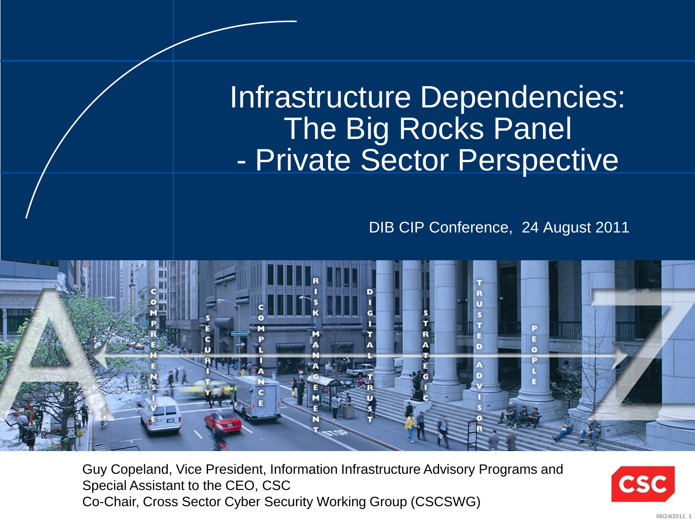Infrastructure Dependencies: The Big Rocks Panel - Private Sector Perspective

DIB CIP Conference, 24 August 2011



Guy Copeland, Vice President, Information Infrastructure Advisory Programs and Special Assistant to the CEO, CSC Co-Chair, Cross Sector Cyber Security Working Group (CSCSWG)

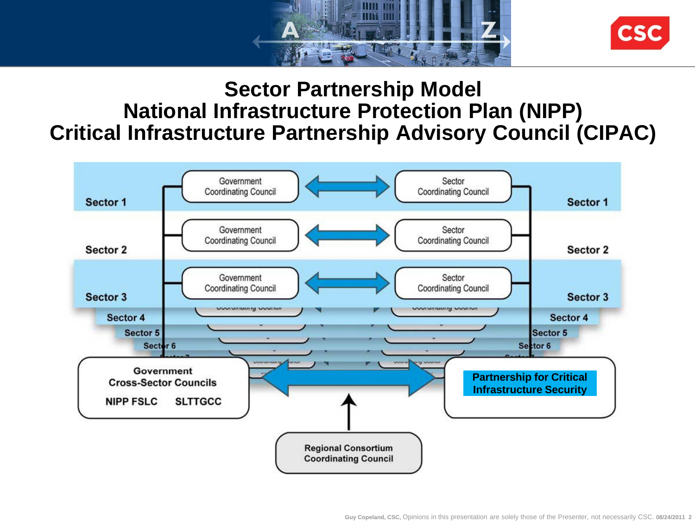



#### **Sector Partnership Model National Infrastructure Protection Plan (NIPP) Critical Infrastructure Partnership Advisory Council (CIPAC)**

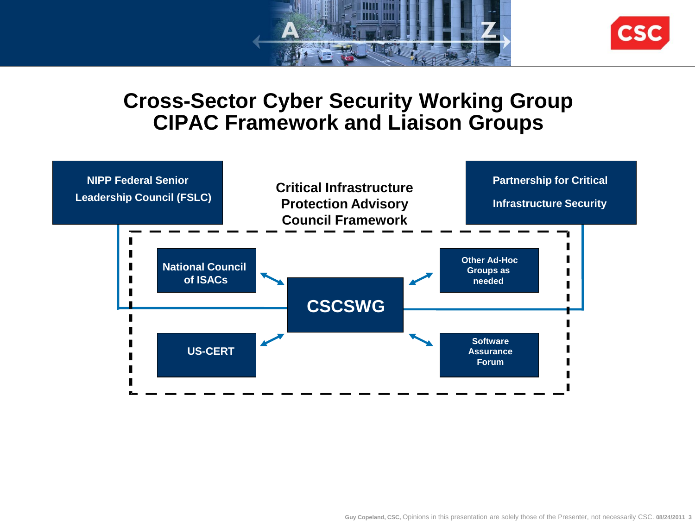



#### **Cross-Sector Cyber Security Working Group CIPAC Framework and Liaison Groups**

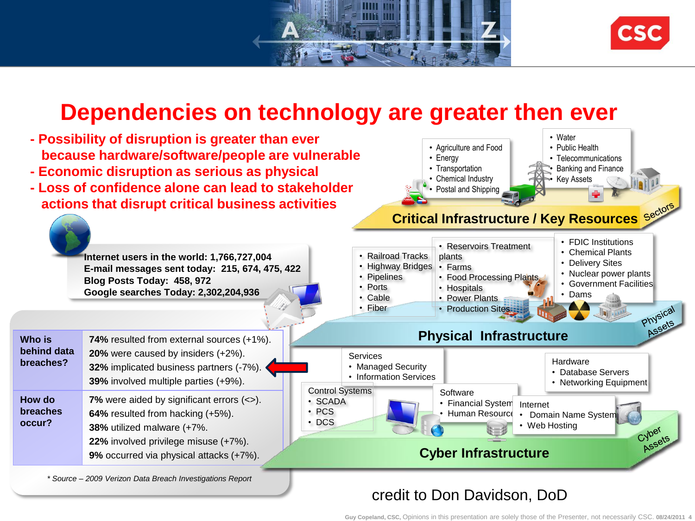



#### **Dependencies on technology are greater then ever**

- **- Possibility of disruption is greater than ever because hardware/software/people are vulnerable**
- **- Economic disruption as serious as physical**
- **- Loss of confidence alone can lead to stakeholder actions that disrupt critical business activities**





**Internet users in the world: 1,766,727,004 E-mail messages sent today: 215, 674, 475, 422 Blog Posts Today: 458, 972 Google searches Today: 2,302,204,936**

| Who is<br>behind data<br>breaches?  | <b>74%</b> resulted from external sources (+1%).<br>20% were caused by insiders (+2%).<br>32% implicated business partners (-7%).<br>39% involved multiple parties (+9%).                                 |
|-------------------------------------|-----------------------------------------------------------------------------------------------------------------------------------------------------------------------------------------------------------|
| How do<br><b>breaches</b><br>occur? | <b>7%</b> were aided by significant errors $(\le)$ .<br>64% resulted from hacking (+5%).<br>38% utilized malware (+7%.<br>22% involved privilege misuse (+7%).<br>9% occurred via physical attacks (+7%). |

*\* Source – 2009 Verizon Data Breach Investigations Report*



#### credit to Don Davidson, DoD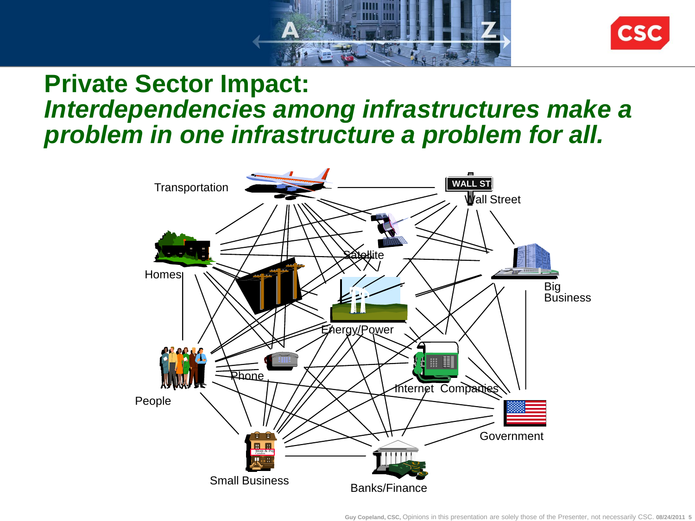



### **Private Sector Impact:** *Interdependencies among infrastructures make a problem in one infrastructure a problem for all.*



**Guy Copeland, CSC,** Opinions in this presentation are solely those of the Presenter, not necessarily CSC. **08/24/2011 5**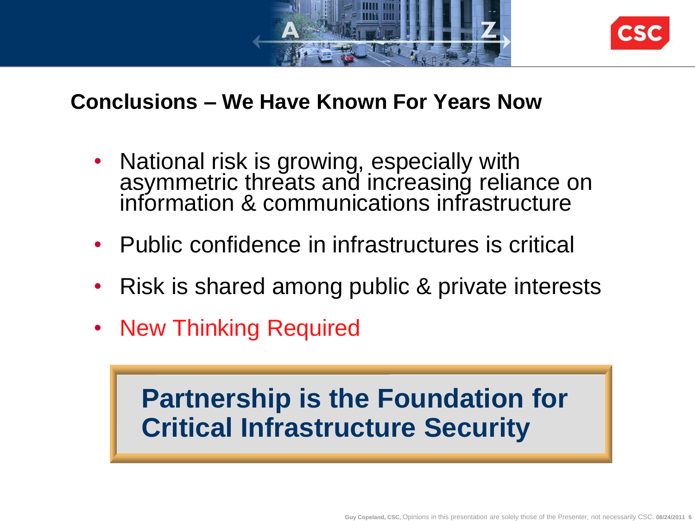



#### **Conclusions – We Have Known For Years Now**

- National risk is growing, especially with asymmetric threats and increasing reliance on information & communications infrastructure
- Public confidence in infrastructures is critical
- Risk is shared among public & private interests
- New Thinking Required

## **Partnership is the Foundation for Critical Infrastructure Security**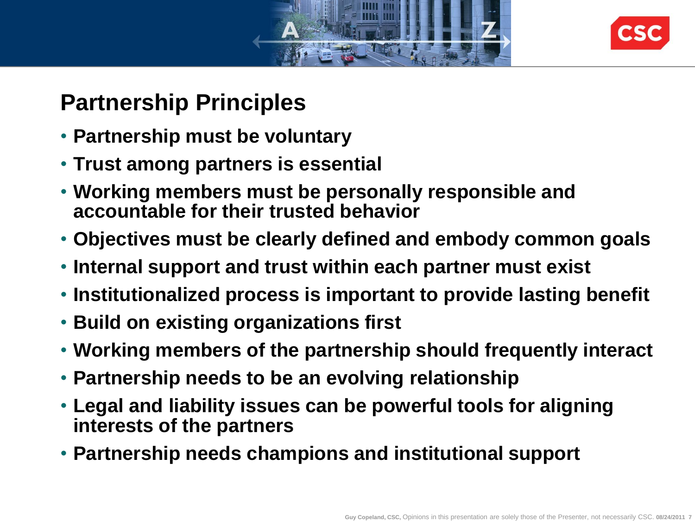



## **Partnership Principles**

- **Partnership must be voluntary**
- **Trust among partners is essential**
- **Working members must be personally responsible and accountable for their trusted behavior**
- **Objectives must be clearly defined and embody common goals**
- **Internal support and trust within each partner must exist**
- **Institutionalized process is important to provide lasting benefit**
- **Build on existing organizations first**
- **Working members of the partnership should frequently interact**
- **Partnership needs to be an evolving relationship**
- **Legal and liability issues can be powerful tools for aligning interests of the partners**
- **Partnership needs champions and institutional support**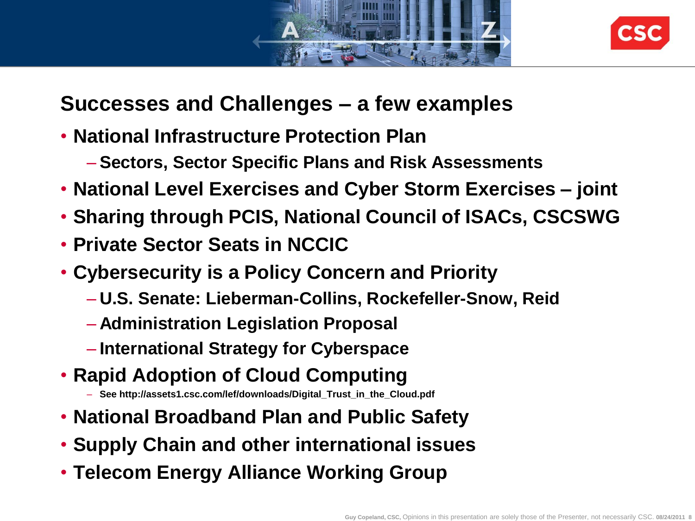



#### **Successes and Challenges – a few examples**

- **National Infrastructure Protection Plan**
	- **Sectors, Sector Specific Plans and Risk Assessments**
- **National Level Exercises and Cyber Storm Exercises – joint**
- **Sharing through PCIS, National Council of ISACs, CSCSWG**
- **Private Sector Seats in NCCIC**
- **Cybersecurity is a Policy Concern and Priority**
	- **U.S. Senate: Lieberman-Collins, Rockefeller-Snow, Reid**
	- **Administration Legislation Proposal**
	- **International Strategy for Cyberspace**
- **Rapid Adoption of Cloud Computing**
	- **See http://assets1.csc.com/lef/downloads/Digital\_Trust\_in\_the\_Cloud.pdf**
- **National Broadband Plan and Public Safety**
- **Supply Chain and other international issues**
- **Telecom Energy Alliance Working Group**